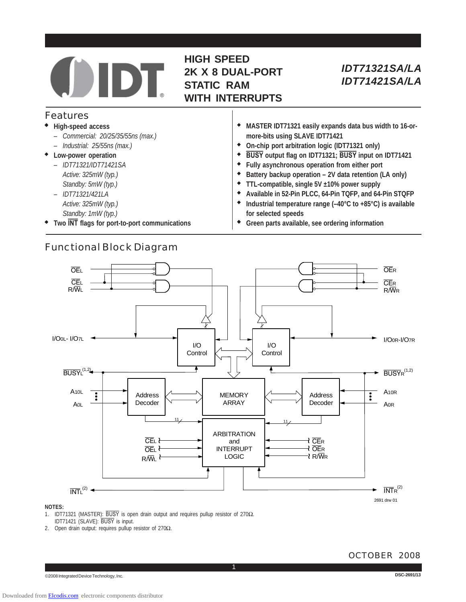# **HIGH SPEED 2K X 8 DUAL-PORT STATIC RAM WITH INTERRUPTS**

## Features

- ◆ **High-speed access**
	- *Commercial: 20/25/35/55ns (max.)*
	- *Industrial: 25/55ns (max.)*
- ◆ **Low-power operation**
	- *IDT71321/IDT71421SA — Active: 325mW (typ.) — Standby: 5mW (typ.)*
	- *IDT71321/421LA*
	- *— Active: 325mW (typ.) — Standby: 1mW (typ.)*
- ◆ **Two INT flags for port-to-port communications**

Functional Block Diagram

- ◆ **MASTER IDT71321 easily expands data bus width to 16-ormore-bits using SLAVE IDT71421** ◆ **On-chip port arbitration logic (IDT71321 only)**
- ◆ **BUSY output flag on IDT71321; BUSY input on IDT71421**
- ◆ **Fully asynchronous operation from either port**
- ◆ **Battery backup operation 2V data retention (LA only)**
- ◆ **TTL-compatible, single 5V ±10% power supply**
- ◆ **Available in 52-Pin PLCC, 64-Pin TQFP, and 64-Pin STQFP**
- ◆ **Industrial temperature range (–40°C to +85°C) is available for selected speeds**
- **Green parts available, see ordering information**



### **NOTES:**

- 1. IDT71321 (MASTER): BUSY is open drain output and requires pullup resistor of 270Ω. IDT71421 (SLAVE): BUSY is input.
- 2. Open drain output: requires pullup resistor of 270Ω.

#### **DSC-2691/13**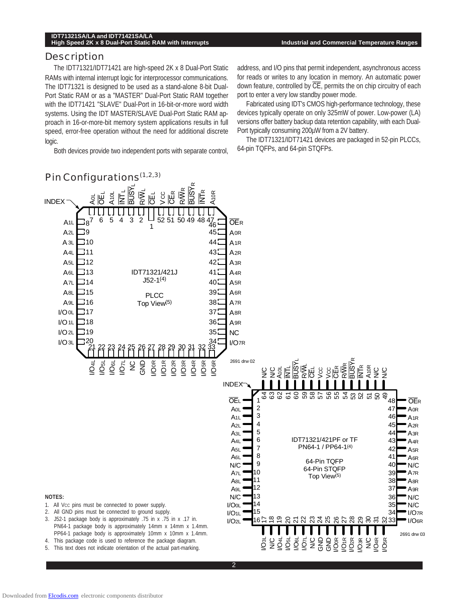### **Description**

The IDT71321/IDT71421 are high-speed 2K x 8 Dual-Port Static RAMs with internal interrupt logic for interprocessor communications. The IDT71321 is designed to be used as a stand-alone 8-bit Dual-Port Static RAM or as a "MASTER" Dual-Port Static RAM together with the IDT71421 "SLAVE" Dual-Port in 16-bit-or-more word width systems. Using the IDT MASTER/SLAVE Dual-Port Static RAM approach in 16-or-more-bit memory system applications results in full speed, error-free operation without the need for additional discrete logic.

Both devices provide two independent ports with separate control,

address, and I/O pins that permit independent, asynchronous access for reads or writes to any location in memory. An automatic power down feature, controlled by CE, permits the on chip circuitry of each port to enter a very low standby power mode.

Fabricated using IDT's CMOS high-performance technology, these devices typically operate on only 325mW of power. Low-power (LA) versions offer battery backup data retention capability, with each Dual-Port typically consuming 200µW from a 2V battery.

The IDT71321/IDT71421 devices are packaged in 52-pin PLCCs, 64-pin TQFPs, and 64-pin STQFPs.

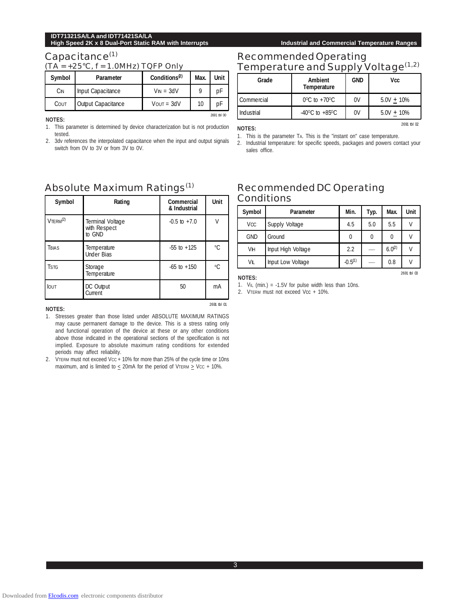2691 tbl 02

2691 tbl 03

### Capacitance<sup>(1)</sup>

 $(TA = +25°C, f = 1.0MHz) TOFP Only$ 

| Symbol | Parameter          | Conditions <sup>(2)</sup> | Max. | Unit |
|--------|--------------------|---------------------------|------|------|
| Сıм    | Input Capacitance  | $V_{IN} = 3dV$            |      | nF   |
| Cout   | Output Capacitance | $V$ OUT = $3dV$           | 10   |      |

**NOTES:**

1. This parameter is determined by device characterization but is not production tested.

2. 3dv references the interpolated capacitance when the input and output signals switch from 0V to 3V or from 3V to 0V.

# Recommended Operating Temperature and Supply Voltage<sup>(1,2)</sup>

| Grade      | Ambient<br>Temperature             | <b>GND</b> | Vcc           |
|------------|------------------------------------|------------|---------------|
| Commercial | $0^{\circ}$ C to +70 $^{\circ}$ C  | 0V         | $5.0V + 10\%$ |
| Industrial | $-40^{\circ}$ C to $+85^{\circ}$ C | 0V         | $5.0V + 10\%$ |

**NOTES:**

2691 tbl 00

1. This is the parameter TA. This is the "instant on" case temperature.

2. Industrial temperature: for specific speeds, packages and powers contact your sales office.

# Absolute Maximum Ratings(1)

| Symbol         | Rating                                     | Commercial<br>& Industrial | Unit      |
|----------------|--------------------------------------------|----------------------------|-----------|
| $V$ TERM $(2)$ | Terminal Voltage<br>with Respect<br>to GND | $-0.5$ to $+7.0$           | V         |
| Trias          | Temperature<br><b>Under Bias</b>           | $-55$ to $+125$            | °C        |
| <b>T</b> stg   | Storage<br>Temperature                     | $-65$ to $+150$            | $\circ$ C |
| <b>IOUT</b>    | DC Output<br>Current                       | 50                         | mA        |

#### **NOTES:**

- 1. Stresses greater than those listed under ABSOLUTE MAXIMUM RATINGS may cause permanent damage to the device. This is a stress rating only and functional operation of the device at these or any other conditions above those indicated in the operational sections of the specification is not implied. Exposure to absolute maximum rating conditions for extended periods may affect reliability.
- 2. VTERM must not exceed Vcc + 10% for more than 25% of the cycle time or 10ns maximum, and is limited to  $\leq$  20mA for the period of VTERM  $\geq$  VCC + 10%.

# Recommended DC Operating **Conditions**

| Symbol                | Parameter          | Min.      | Typ. | Max.        | Unit |
|-----------------------|--------------------|-----------|------|-------------|------|
| <b>V<sub>CC</sub></b> | Supply Voltage     | 4.5       | 5.0  | 5.5         | V    |
| <b>GND</b>            | Ground             | 0         | 0    |             |      |
| Vн                    | Input High Voltage | 2.2       |      | $6.0^{(2)}$ |      |
| VIL                   | Input Low Voltage  | $-0.5(1)$ |      | 0.8         |      |

**NOTES:**

2691 tbl 01

2. VTERM must not exceed Vcc + 10%.

<sup>1.</sup> V<sub>IL</sub> (min.) =  $-1.5V$  for pulse width less than 10ns.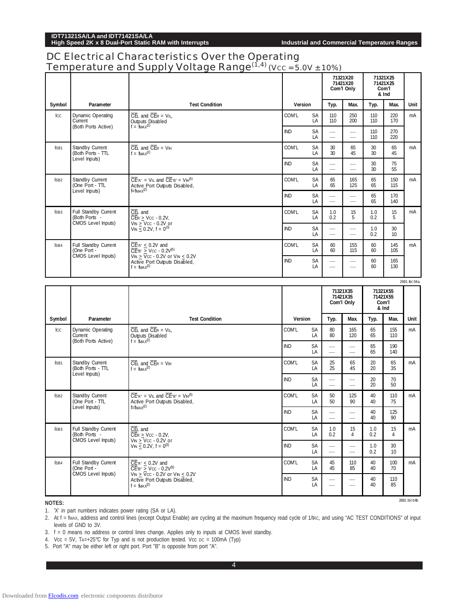2691 tbl 04b

# DC Electrical Characteristics Over the Operating Temperature and Supply Voltage Range $(1,4)$  (Vcc = 5.0V ± 10%)

|                  | romporature and Juppry                                           | vultage Kange                                                                                                                                             | $(0.00 - 0.00 + 10.00)$ |                 |                                                      | 71321X20<br>71421X20<br>Com'l Only |            | 71321X25<br>71421X25<br>Com'l<br>& Ind |               |
|------------------|------------------------------------------------------------------|-----------------------------------------------------------------------------------------------------------------------------------------------------------|-------------------------|-----------------|------------------------------------------------------|------------------------------------|------------|----------------------------------------|---------------|
| Symbol           | Parameter                                                        | <b>Test Condition</b>                                                                                                                                     | Version                 |                 | Typ.                                                 | Max.                               | Typ.       | Max.                                   | Unit          |
| Icc              | Dynamic Operating<br>Current<br>(Both Ports Active)              | $\overline{CE}$ and $\overline{CE}$ = V <sub>IL</sub><br>Outputs Disabled<br>$f = f_{MAX}(2)$                                                             | COM'L                   | SA<br>LA        | 110<br>110                                           | 250<br>200                         | 110<br>110 | 220<br>170                             | mA            |
|                  |                                                                  |                                                                                                                                                           | IND                     | <b>SA</b><br>LA |                                                      |                                    | 110<br>110 | 270<br>220                             |               |
| ISB1             | Standby Current<br>(Both Ports - TTL<br>Level Inputs)            | $\overline{\text{CE}}$ and $\overline{\text{CE}}$ R = V <sub>IH</sub><br>$f = f_{MAX}(2)$                                                                 | COM'L                   | SA<br>LA        | 30<br>30                                             | 65<br>45                           | 30<br>30   | 65<br>45                               | mA            |
|                  |                                                                  |                                                                                                                                                           | IND                     | SA<br>LA        |                                                      |                                    | 30<br>30   | 75<br>55                               |               |
| ISB <sub>2</sub> | Standby Current<br>(One Port - TTL<br>Level Inputs)              | $\overline{CE}^*$ A" = V <sub>IL</sub> and $\overline{CE}^*$ B" = VIH <sup>(5)</sup><br>Active Port Outputs Disabled,<br>$f=fMAX^{(2)}$                   | COM'L                   | SA<br>LA        | 65<br>65                                             | 165<br>125                         | 65<br>65   | 150<br>115                             | mA            |
|                  |                                                                  |                                                                                                                                                           | <b>IND</b>              | SA<br>LA        |                                                      |                                    | 65<br>65   | 170<br>140                             |               |
| ISB <sub>3</sub> | Full Standby Current<br>(Both Ports -<br>CMOS Level Inputs)      | $\overline{\text{CE}}$ and<br>$\overline{\text{CE}}$ R > Vcc - 0.2V,<br>$V_{IN}$ > Vcc - 0.2V or                                                          | COM'L                   | SA<br>LA        | 1.0<br>0.2                                           | 15<br>5                            | 1.0<br>0.2 | 15<br>5                                | mA            |
|                  |                                                                  | $V_{IN}$ < 0.2V, f = 0 <sup>(3)</sup>                                                                                                                     | <b>IND</b>              | <b>SA</b><br>LA |                                                      |                                    | 1.0<br>0.2 | 30<br>10                               |               |
| ISB4             | Full Standby Current<br>One Port -<br>CMOS Level Inputs)         | $\overline{CE}$ A" $\leq$ 0.2V and<br>$\overline{CE}$ <sup>B"</sup> > Vcc - 0.2V <sup>(5)</sup><br>$V_{IN}$ > $\overline{V}$ cc - 0.2V or $V_{IN}$ < 0.2V | COM'L                   | <b>SA</b><br>LA | 60<br>60                                             | 155<br>115                         | 60<br>60   | 145<br>105                             | mA            |
|                  |                                                                  | Active Port Outputs Disabled,<br>$f = f_{MAX}(2)$                                                                                                         |                         | SA<br>LA        | $\overline{\phantom{a}}$                             | $\overline{\phantom{a}}$           | 60<br>60   | 165<br>130                             |               |
|                  |                                                                  |                                                                                                                                                           |                         |                 |                                                      |                                    |            |                                        |               |
|                  |                                                                  |                                                                                                                                                           |                         |                 |                                                      |                                    |            |                                        | 2691 tbl 04 a |
|                  |                                                                  |                                                                                                                                                           |                         |                 |                                                      | 71321X35<br>71421X35<br>Com'l Only |            | 71321X55<br>71421X55<br>Com'l<br>& Ind |               |
| Symbol           | Parameter                                                        | <b>Test Condition</b>                                                                                                                                     | Version                 |                 | Typ.                                                 | Max.                               | Typ.       | Max.                                   | Unit          |
| Icc              | Dynamic Operating<br>Current                                     | $\overline{CE}$ and $\overline{CE}$ = V <sub>IL</sub><br><b>Outputs Disabled</b>                                                                          | COM'L                   | SA<br>LA        | 80<br>80                                             | 165<br>120                         | 65<br>65   | 155<br>110                             | mA            |
|                  | (Both Ports Active)                                              | $f = f_{MAX}(2)$                                                                                                                                          | <b>IND</b>              | SA<br>LA        |                                                      |                                    | 65<br>65   | 190<br>140                             |               |
| ISB1             | Standby Current<br>(Both Ports - TTL                             | $\overline{CE}$ and $\overline{CE}$ = $V$ <sub>H</sub><br>$f = f_{MAX}(2)$                                                                                | COM'L                   | SA<br>LA        | 25<br>25                                             | 65<br>45                           | 20<br>20   | 65<br>35                               | mA            |
|                  | Level Inputs)                                                    |                                                                                                                                                           | <b>IND</b>              | SA<br>LA        |                                                      | -                                  | 20<br>20   | 70<br>50                               |               |
| ISB <sub>2</sub> | Standby Current<br>(One Port - TTL                               | $\overline{CE}$ " = V <sub>IL</sub> and $\overline{CE}$ " = V <sub>IH</sub> <sup>(5)</sup><br>Active Port Outputs Disabled,                               | COM'L                   | SA<br>LA        | 50<br>50                                             | 125<br>90                          | 40<br>40   | 110<br>75                              | mA            |
|                  | Level Inputs)                                                    | $f=fMAX(2)$                                                                                                                                               | IND                     | SA<br>LA        | $\hspace{0.05cm}$<br>$\overbrace{\qquad \qquad }^{}$ | $\overline{\phantom{a}}$           | 40<br>40   | 125<br>90                              |               |
| ISB <sub>3</sub> | Full Standby Current<br>(Both Ports -                            | $\overline{CE}$ and<br>$\overline{\text{CE}}$ R > Vcc - 0.2V,                                                                                             | COM'L                   | SA<br>LA        | 1.0<br>0.2                                           | 15<br>4                            | 1.0<br>0.2 | 15<br>4                                | mA            |
|                  | CMOS Level Inputs)                                               | $V_{IN}$ > $V_{CC}$ - 0.2V or<br>$V_{IN}$ < 0.2V, f = $0^{(3)}$                                                                                           | <b>IND</b>              | SA<br>LA        | $\overline{\phantom{m}}$                             | $\frac{1}{2}$                      | 1.0<br>0.2 | 30<br>10 <sup>°</sup>                  |               |
| ISB4             | <b>Full Standby Current</b><br>(One Port -<br>CMOS Level Inputs) | $\overline{\text{CE}}$ " < 0.2V and<br>$\overline{CE}$ "B" > Vcc - 0.2V <sup>(5)</sup><br>$V_{IN}$ > $\overline{V}_{CC}$ - 0.2V or $V_{IN}$ < 0.2V        | COM'L                   | SA<br>LA        | 45<br>45                                             | 110<br>85                          | 40<br>40   | 100<br>70                              | mA            |

**NOTES:**

1. 'X' in part numbers indicates power rating (SA or LA).

2. At f = fMAX, address and control lines (except Output Enable) are cycling at the maximum frequency read cycle of 1/tRc, and using "AC TEST CONDITIONS" of input levels of GND to 3V.

3. f = 0 means no address or control lines change. Applies only to inputs at CMOS level standby.

4. Vcc = 5V, TA=+25°C for Typ and is not production tested. Vcc DC = 100mA (Typ)

5. Port "A" may be either left or right port. Port "B" is opposite from port "A".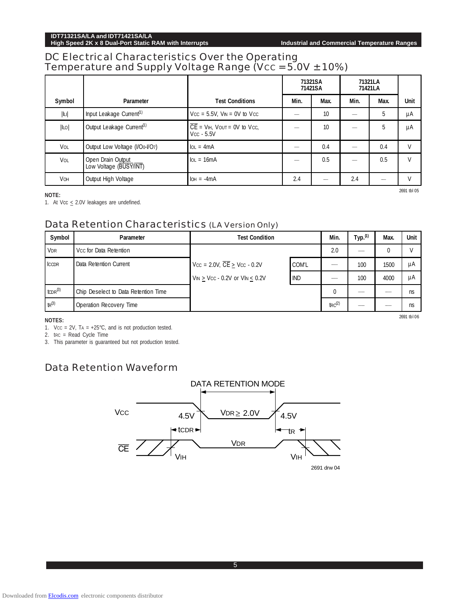# DC Electrical Characteristics Over the Operating Temperature and Supply Voltage Range (V $cc = 5.0V \pm 10\%)$

|                |                                             |                                                          | 71321SA<br>71421SA |                          | 71321LA<br>71421LA |      |              |
|----------------|---------------------------------------------|----------------------------------------------------------|--------------------|--------------------------|--------------------|------|--------------|
| Symbol         | Parameter                                   | <b>Test Conditions</b>                                   | Min.               | Max.                     | Min.               | Max. | Unit         |
| $ \mathbb{L} $ | Input Leakage Current <sup>(1)</sup>        | $Vcc = 5.5V$ , $V_{IN} = 0V$ to $Vcc$                    |                    | 10                       |                    | 5    | μA           |
| ILO            | Output Leakage Current <sup>(1)</sup>       | $\overline{CE}$ = VIH, VOUT = 0V to VCC,<br>$Vcc - 5.5V$ |                    | 10                       |                    | 5    | μA           |
| VOL            | Output Low Voltage (I/Oo-I/O7)              | $IoL = 4mA$                                              |                    | 0.4                      |                    | 0.4  | V            |
| VOL            | Open Drain Output<br>Low Voltage (BUSY/INT) | $IoL = 16mA$                                             |                    | 0.5                      |                    | 0.5  | $\mathsf{V}$ |
| <b>VOH</b>     | Output High Voltage                         | $IOH = -4mA$                                             | 2.4                | $\overline{\phantom{a}}$ | 2.4                | ---  | v            |

**NOTE:**

1. At Vcc  $\leq$  2.0V leakages are undefined.

## Data Retention Characteristics (LA Version Only)

| Symbol           | Parameter                            | <b>Test Condition</b>                                     | Min.       | Тур. <sup>(1)</sup> | Max. | Unit |    |
|------------------|--------------------------------------|-----------------------------------------------------------|------------|---------------------|------|------|----|
| VDR              | Vcc for Data Retention               |                                                           |            | 2.0                 |      | 0    |    |
| <b>ICCDR</b>     | Data Retention Current               | $Vcc = 2.0V$ , $\overline{CE} > Vcc - 0.2V$               | COM'L      |                     | 100  | 1500 | μA |
|                  |                                      | $V_{IN}$ $\geq$ Vcc - 0.2V or VI <sub>N</sub> $\leq$ 0.2V | <b>IND</b> |                     | 100  | 4000 | μA |
| $t$ CDR $^{(3)}$ | Chip Deselect to Data Retention Time |                                                           |            | $\Omega$            | $-$  |      | ns |
| $tr^{(3)}$       | <b>Operation Recovery Time</b>       |                                                           |            | $\text{trc}^{(2)}$  |      |      | ns |

#### **NOTES:**

1. Vcc =  $2V$ , TA =  $+25^{\circ}$ C, and is not production tested.

2. trc = Read Cycle Time

3. This parameter is guaranteed but not production tested.

# Data Retention Waveform



2691 tbl 06

2691 tbl 05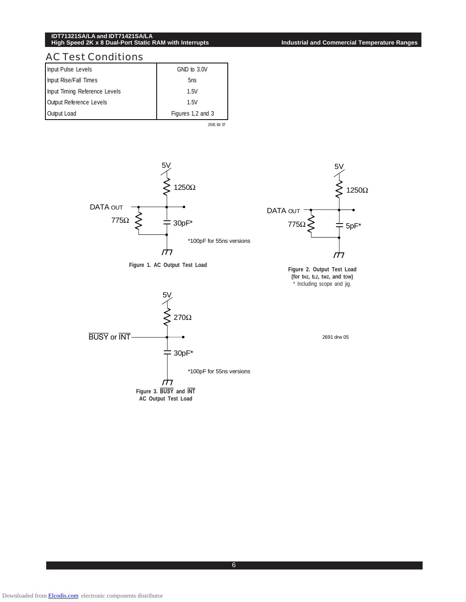**High Speed 2K x 8 Dual-Port Static RAM with Interrupts Industrial and Commercial Temperature Ranges**

## AC Test Conditions

| Input Pulse Levels            | GND to 3.0V       |
|-------------------------------|-------------------|
| Input Rise/Fall Times         | 5ns               |
| Input Timing Reference Levels | 1.5V              |
| Output Reference Levels       | 1.5V              |
| Output Load                   | Figures 1,2 and 3 |









5V

**Figure 1. AC Output Test Load Figure 2. Output Test Load (for tHZ, tLZ, tWZ, and tOW)** \* Including scope and jig.



2691 drw 05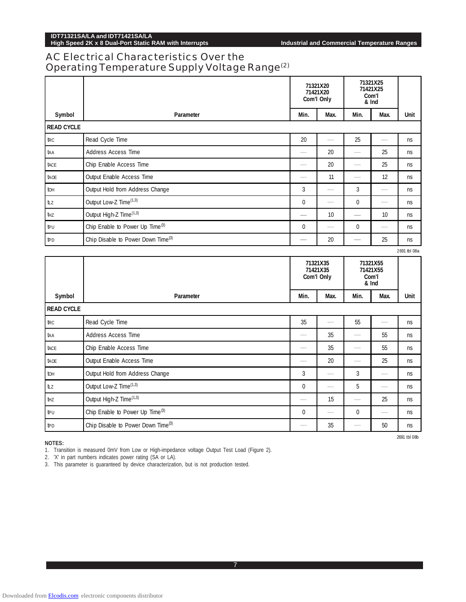# AC Electrical Characteristics Over the Operating Temperature Supply Voltage Range(2)

|                   |                                                | 71321X20<br>71421X20<br>Com'l Only                                                                                                      |      | 71321X25<br>71421X25<br>Com'l<br>& Ind |      |      |
|-------------------|------------------------------------------------|-----------------------------------------------------------------------------------------------------------------------------------------|------|----------------------------------------|------|------|
| Symbol            | Parameter                                      | Min.                                                                                                                                    | Max. | Min.                                   | Max. | Unit |
| <b>READ CYCLE</b> |                                                |                                                                                                                                         |      |                                        |      |      |
| trc               | Read Cycle Time                                | 20                                                                                                                                      |      | 25                                     |      | ns   |
| taa               | <b>Address Access Time</b>                     | --                                                                                                                                      | 20   |                                        | 25   | ns   |
| tace              | Chip Enable Access Time                        |                                                                                                                                         | 20   |                                        | 25   | ns   |
| tade              | Output Enable Access Time                      | --                                                                                                                                      | 11   |                                        | 12   | ns   |
| tон               | Output Hold from Address Change                | 3                                                                                                                                       |      | 3                                      |      | ns   |
| tιz               | Output Low-Z Time <sup>(1,3)</sup>             | 0                                                                                                                                       |      | 0                                      |      | ns   |
| tнz               | Output High-Z Time <sup>(1,3)</sup>            | $\hspace{1.0cm} \overline{\hspace{1.0cm} \hspace{1.0cm} \hspace{1.0cm} \hspace{1.0cm} } \hspace{1.0cm} \hspace{1.0cm} \hspace{1.0cm} }$ | 10   | $\frac{1}{2}$                          | 10   | ns   |
| ΙÞυ               | Chip Enable to Power Up Time <sup>(3)</sup>    | $\mathbf 0$                                                                                                                             |      | $\Omega$                               |      | ns   |
| <b>t</b> PD       | Chip Disable to Power Down Time <sup>(3)</sup> |                                                                                                                                         | 20   |                                        | 25   | ns   |

2691 tbl 08a

2691 tbl 08b

|                   |                                                | 71321X35<br>71421X35<br>Com'l Only |      | 71321X55<br>71421X55<br>Com'l<br>& Ind |                   |             |
|-------------------|------------------------------------------------|------------------------------------|------|----------------------------------------|-------------------|-------------|
| Symbol            | Parameter                                      | Min.                               | Max. | Min.                                   | Max.              | <b>Unit</b> |
| <b>READ CYCLE</b> |                                                |                                    |      |                                        |                   |             |
| trc               | Read Cycle Time                                | 35                                 |      | 55                                     |                   | ns          |
| taa               | <b>Address Access Time</b>                     | --                                 | 35   |                                        | 55                | ns          |
| tace              | Chip Enable Access Time                        |                                    | 35   |                                        | 55                | ns          |
| tade              | Output Enable Access Time                      |                                    | 20   |                                        | 25                | ns          |
| to <sub>H</sub>   | Output Hold from Address Change                | 3                                  |      | 3                                      |                   | ns          |
| tız               | Output Low-Z Time <sup>(1,3)</sup>             | $\mathbf{0}$                       |      | 5                                      |                   | ns          |
| tнz               | Output High-Z Time <sup>(1,3)</sup>            |                                    | 15   |                                        | 25                | ns          |
| tpu               | Chip Enable to Power Up Time <sup>(3)</sup>    | $\mathbf{0}$                       |      | $\mathbf{0}$                           | $\hspace{0.05cm}$ | ns.         |
| <b>t</b> PD       | Chip Disable to Power Down Time <sup>(3)</sup> |                                    | 35   |                                        | 50                | ns          |

**NOTES:**

1. Transition is measured 0mV from Low or High-impedance voltage Output Test Load (Figure 2).

2. 'X' in part numbers indicates power rating (SA or LA).

3. This parameter is guaranteed by device characterization, but is not production tested.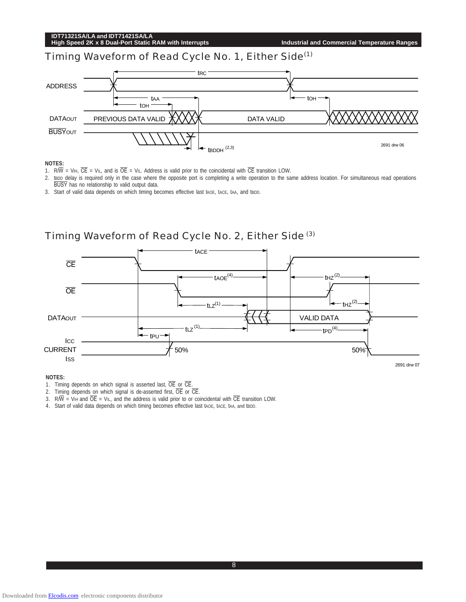|                | IDT71321SA/LA and IDT71421SA/LA<br>High Speed 2K x 8 Dual-Port Static RAM with Interrupts |                     | <b>Industrial and Commercial Temperature Ranges</b> |
|----------------|-------------------------------------------------------------------------------------------|---------------------|-----------------------------------------------------|
|                | Timing Waveform of Read Cycle No. 1, Either Side <sup>(1)</sup>                           |                     |                                                     |
| <b>ADDRESS</b> | taa<br>toh                                                                                | trc                 | $\mathsf{toH}$                                      |
| <b>DATAOUT</b> | PREVIOUS DATA VALID                                                                       | DATA VALID          |                                                     |
| <b>BUSYOUT</b> |                                                                                           | $t$ BDDH $^{(2,3)}$ | 2691 drw 06                                         |

#### **NOTES:**

- 1. R/ $\overline{W}$  = VIH,  $\overline{CE}$  = VIL, and is  $\overline{OE}$  = VIL. Address is valid prior to the coincidental with  $\overline{CE}$  transition LOW.
- 2. tsop delay is required only in the case where the opposite port is completing a write operation to the same address location. For simultaneous read operations BUSY has no relationship to valid output data.
- 3. Start of valid data depends on which timing becomes effective last tAOE, tACE, tAA, and tBDD.



**NOTES:**

- 1. Timing depends on which signal is asserted last,  $\overline{OE}$  or  $\overline{CE}$ .
- 2. Timing depends on which signal is de-asserted first,  $\overline{OE}$  or  $\overline{CE}$ .
- 3. R $\overline{W}$  = V<sub>IH</sub> and  $\overline{OE}$  = V<sub>IL</sub>, and the address is valid prior to or coincidental with  $\overline{CE}$  transition LOW.
- 4. Start of valid data depends on which timing becomes effective last tAOE, tACE, tAA, and tBDD.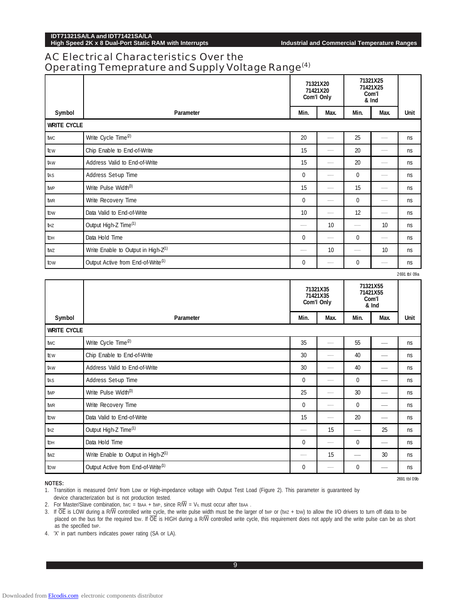**High Speed 2K x 8 Dual-Port Static RAM with Interrupts Industrial and Commercial Temperature Ranges**

2691 tbl 09b

## AC Electrical Characteristics Over the Operating Temeprature and Supply Voltage Range(4)

|                    |                                                 | 71321X20<br>71421X20<br>Com'l Only |                          | 71321X25<br>71421X25<br>Com'l<br>& Ind |                                        |              |
|--------------------|-------------------------------------------------|------------------------------------|--------------------------|----------------------------------------|----------------------------------------|--------------|
| Symbol             | Parameter                                       | Min.                               | Max.                     | Min.                                   | Max.                                   | <b>Unit</b>  |
| <b>WRITE CYCLE</b> |                                                 |                                    |                          |                                        |                                        |              |
| twc                | Write Cycle Time <sup>(2)</sup>                 | 20                                 |                          | 25                                     | $\overline{\phantom{0}}$               | <b>ns</b>    |
| tew                | Chip Enable to End-of-Write                     | 15                                 |                          | 20                                     | —                                      | <b>ns</b>    |
| taw                | Address Valid to End-of-Write                   | 15                                 |                          | 20                                     | $\overline{\phantom{0}}$               | ns           |
| tas                | Address Set-up Time                             | 0                                  | $\overline{\phantom{a}}$ | 0                                      | $\overline{\phantom{m}}$               | ns           |
| twp                | Write Pulse Width <sup>(3)</sup>                | 15                                 |                          | 15                                     | $\overline{\phantom{0}}$               | ns           |
| twr                | Write Recovery Time                             | 0                                  |                          | 0                                      |                                        | ns           |
| tow                | Data Valid to End-of-Write                      | 10                                 |                          | 12                                     | $\overline{\phantom{0}}$               | ns           |
| tнz                | Output High-Z Time <sup>(1)</sup>               |                                    | 10                       |                                        | 10                                     | ns           |
| tон                | Data Hold Time                                  | 0                                  |                          | 0                                      | $\overline{\phantom{0}}$               | <b>ns</b>    |
| twz                | Write Enable to Output in High-Z <sup>(1)</sup> | --                                 | 10                       |                                        | 10                                     | ns           |
| tow                | Output Active from End-of-Write <sup>(1)</sup>  | $\bf{0}$                           |                          | 0                                      |                                        | ns           |
|                    |                                                 |                                    |                          |                                        |                                        | 2691 tbl 09a |
|                    |                                                 | 71321X35<br>71421X35<br>Com'l Only |                          |                                        | 71321X55<br>71421X55<br>Com'l<br>& Ind |              |
| Symbol             | Parameter                                       | Min.                               | Max.                     | Min.                                   | Max.                                   | <b>Unit</b>  |
| <b>WRITE CYCLE</b> |                                                 |                                    |                          |                                        |                                        |              |

| <b>WRITE CYCLE</b> |                                                 |             |    |          |                                 |    |  |  |
|--------------------|-------------------------------------------------|-------------|----|----------|---------------------------------|----|--|--|
| twc                | Write Cycle Time <sup>(2)</sup>                 | 35          |    | 55       |                                 | ns |  |  |
| tew                | Chip Enable to End-of-Write                     | 30          |    | 40       | $\overline{\phantom{a}}$        | ns |  |  |
| taw                | Address Valid to End-of-Write                   | 30          |    | 40       | $\overline{\phantom{a}}$        | ns |  |  |
| tas                | Address Set-up Time                             | 0           |    | $\Omega$ | $\overbrace{\qquad \qquad }^{}$ | ns |  |  |
| twp                | Write Pulse Width <sup>(3)</sup>                | 25          |    | 30       | $\overline{\phantom{a}}$        | ns |  |  |
| twr                | Write Recovery Time                             | 0           |    | 0        | $\overline{\phantom{a}}$        | ns |  |  |
| tow                | Data Valid to End-of-Write                      | 15          |    | 20       |                                 | ns |  |  |
| thz                | Output High-Z Time <sup>(1)</sup>               |             | 15 |          | 25                              | ns |  |  |
| tон                | Data Hold Time                                  | $\mathbf 0$ |    | 0        | $\overline{\phantom{a}}$        | ns |  |  |
| twz                | Write Enable to Output in High-Z <sup>(1)</sup> |             | 15 |          | 30                              | ns |  |  |
| tow                | Output Active from End-of-Write <sup>(1)</sup>  | 0           |    | 0        | $\overline{\phantom{a}}$        | ns |  |  |

**NOTES:**

1. Transition is measured 0mV from Low or High-impedance voltage with Output Test Load (Figure 2). This parameter is guaranteed by device characterization but is not production tested.

2. For Master/Slave combination, two = tBAA + twp, since  $R/\overline{W}$  = VIL must occur after tBAA.

3. If  $\overline{OE}$  is LOW during a R/W controlled write cycle, the write pulse width must be the larger of twp or (twz + tow) to allow the I/O drivers to turn off data to be placed on the bus for the required tow. If  $\overline{OE}$  is HIGH during a R/W controlled write cycle, this requirement does not apply and the write pulse can be as short as the specified tWP.

4. 'X' in part numbers indicates power rating (SA or LA).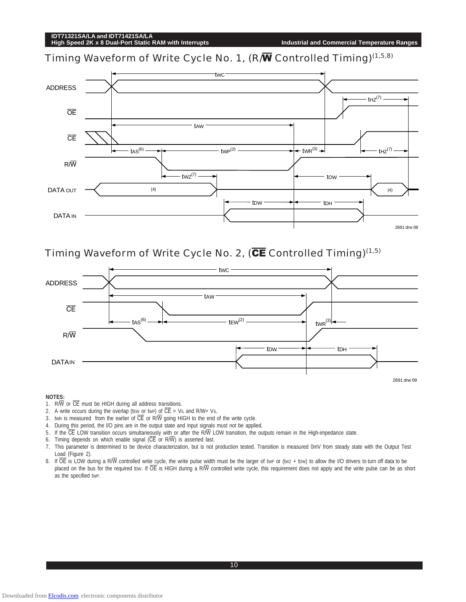Timing Waveform of Write Cycle No. 1, (R/W Controlled Timing)<sup>(1,5,8)</sup>



Timing Waveform of Write Cycle No. 2, ( $\overline{\text{CE}}$  Controlled Timing)<sup>(1,5)</sup>



#### **NOTES:**

- 1.  $R/\overline{W}$  or  $\overline{CE}$  must be HIGH during all address transitions.
- 2. A write occurs during the overlap (tew or twp) of  $\overline{CE}$  = V<sub>IL</sub> and R/W= V<sub>IL</sub>.
- 3. twn is measured from the earlier of  $\overline{\text{CE}}$  or  $\overline{\text{R/W}}$  going HIGH to the end of the write cycle.
- 4. During this period, the l/O pins are in the output state and input signals must not be applied.
- 5. If the  $\overline{CE}$  LOW transition occurs simultaneously with or after the R $\overline{W}$  LOW transition, the outputs remain in the High-impedance state.
- 6. Timing depends on which enable signal  $(\overline{\text{CE}} \text{ or } \text{R}/\overline{\text{W}})$  is asserted last.
- 7. This parameter is determined to be device characterization, but is not production tested. Transition is measured 0mV from steady state with the Output Test Load (Figure 2).
- 8. If  $\overline{OE}$  is LOW during a R $\overline{W}$  controlled write cycle, the write pulse width must be the larger of twp or (twz + tow) to allow the I/O drivers to turn off data to be placed on the bus for the required tow. If  $\overline{OE}$  is HIGH during a R/W controlled write cycle, this requirement does not apply and the write pulse can be as short as the specified tWP.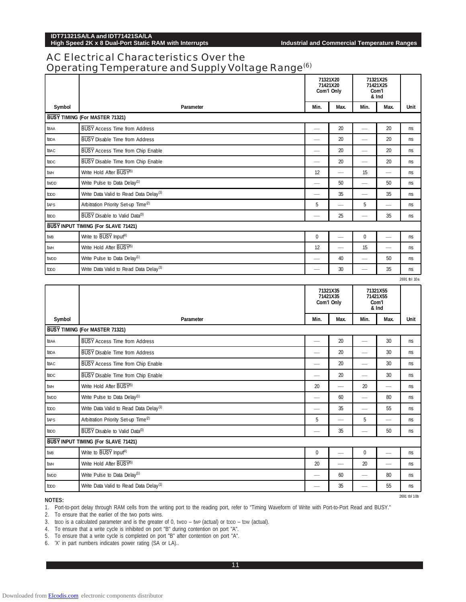Downloaded from [Elcodis.com](http://elcodis.com/) electronic components distributor

## **IDT71321SA/LA and IDT71421SA/LA**

# AC Electrical Characteristics Over the Operating Temperature and Supply Voltage Range<sup>(6)</sup>

|                  | 71321X20<br>71421X20<br>Com'l Only                 |                          |                                    |                          | 71321X25<br>71421X25<br>Com'l<br>& Ind |              |
|------------------|----------------------------------------------------|--------------------------|------------------------------------|--------------------------|----------------------------------------|--------------|
| Symbol           | Parameter                                          | Min.                     | Max.                               | Min.                     | Max.                                   | Unit         |
|                  | BUSY TIMING (For MASTER 71321)                     |                          |                                    |                          |                                        |              |
| <b>t</b> BAA     | <b>BUSY</b> Access Time from Address               |                          | 20                                 |                          | 20                                     | ns           |
| <b>tBDA</b>      | <b>BUSY</b> Disable Time from Address              |                          | 20                                 |                          | 20                                     | ns           |
| <b>tBAC</b>      | BUSY Access Time from Chip Enable                  | -                        | 20                                 | $\overline{\phantom{a}}$ | 20                                     | ns           |
| <b>tBDC</b>      | BUSY Disable Time from Chip Enable                 |                          | 20                                 |                          | 20                                     | ns           |
| twн              | Write Hold After BUSY <sup>(5)</sup>               | 12                       |                                    | 15                       |                                        | ns           |
| tw <sub>DD</sub> | Write Pulse to Data Delay <sup>(1)</sup>           | $\overline{\phantom{a}}$ | 50                                 |                          | 50                                     | ns           |
| toop             | Write Data Valid to Read Data Delay <sup>(1)</sup> |                          | 35                                 |                          | 35                                     | ns           |
| taps             | Arbitration Priority Set-up Time <sup>(2)</sup>    | 5                        |                                    | 5                        | -                                      | ns           |
| tbDD             | BUSY Disable to Valid Data <sup>(3)</sup>          |                          | 25                                 |                          | 35                                     | ns           |
|                  | BUSY INPUT TIMING (For SLAVE 71421)                |                          |                                    |                          |                                        |              |
| twB              | Write to BUSY Input <sup>(4)</sup>                 | $\pmb{0}$                |                                    | $\mathbf 0$              |                                        | ns           |
| twh              | Write Hold After BUSY <sup>(5)</sup>               | 12                       |                                    | 15                       | $\overline{\phantom{a}}$               | ns           |
| twpp             | Write Pulse to Data Delay <sup>(1)</sup>           |                          | 40                                 | --                       | 50                                     | ns           |
| toop             | Write Data Valid to Read Data Delay <sup>(1)</sup> |                          | 30                                 | -                        | 35                                     | ns           |
|                  |                                                    |                          |                                    |                          |                                        | 2691 tbl 10a |
|                  |                                                    |                          |                                    |                          |                                        |              |
|                  |                                                    |                          | 71321X35<br>71421X35<br>Com'l Only |                          | 71321X55<br>71421X55<br>Com'l<br>& Ind |              |
| Symbol           | Parameter                                          | Min.                     | Max.                               | Min.                     | Max.                                   | Unit         |
|                  | BUSY TIMING (For MASTER 71321)                     |                          |                                    |                          |                                        |              |
| <b>t</b> BAA     | <b>BUSY</b> Access Time from Address               | $\overline{\phantom{a}}$ | 20                                 |                          | 30                                     | ns           |
| <b>tBDA</b>      | <b>BUSY</b> Disable Time from Address              | and a series             | 20                                 |                          | 30                                     | ns           |
| <b>tBAC</b>      | BUSY Access Time from Chip Enable                  |                          | 20                                 |                          | 30                                     | ns           |
| <b>tBDC</b>      | BUSY Disable Time from Chip Enable                 | and a series             | 20                                 |                          | 30                                     | ns           |
| twh              | Write Hold After BUSY <sup>5)</sup>                | 20                       | J.                                 | 20                       | $\overline{\phantom{a}}$               | ns           |
| tw <sub>DD</sub> | Write Pulse to Data Delay <sup>(1)</sup>           | $\overline{\phantom{a}}$ | 60                                 |                          | 80                                     | ns           |
| toop             | Write Data Valid to Read Data Delay <sup>(1)</sup> |                          | 35                                 |                          | 55                                     | ns           |
| taps             | Arbitration Priority Set-up Time <sup>(2)</sup>    | 5                        |                                    | 5                        |                                        | ns           |
| tbDD             | BUSY Disable to Valid Data(3)                      |                          | 35                                 |                          | 50                                     | ns           |
|                  | <b>BUSY INPUT TIMING (For SLAVE 71421)</b>         |                          |                                    |                          |                                        |              |
| twB              | Write to BUSY Input <sup>(4)</sup>                 | 0                        |                                    | 0                        |                                        | ns           |
| twн              | Write Hold After BUSY <sup>5)</sup>                | 20                       |                                    | 20                       |                                        | ns           |
| twdd             | Write Pulse to Data Delay <sup>(1)</sup>           |                          | 60                                 | $\overline{\phantom{0}}$ | 80                                     | ns           |

**NOTES:**

1. Port-to-port delay through RAM cells from the writing port to the reading port, refer to "Timing Waveform of Write with Port-to-Port Read and BUSY."

2. To ensure that the earlier of the two ports wins.

3. tBDD is a calculated parameter and is the greater of 0, twbD – twp (actual) or tDDD – tDW (actual).

4. To ensure that a write cycle is inhibited on port "B" during contention on port "A".

5. To ensure that a write cycle is completed on port "B" after contention on port "A".

6. 'X' in part numbers indicates power rating (SA or LA)..

2691 tbl 10b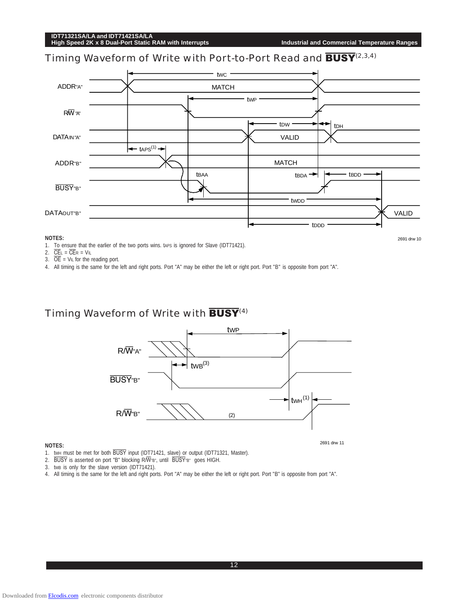2691 drw 10

# Timing Waveform of Write with Port-to-Port Read and **BUSY**<sup>(2,3,4)</sup>



#### **NOTES:**

1. To ensure that the earlier of the two ports wins. taps is ignored for Slave (IDT71421).

- 2.  $\overline{\text{CE}}$ L =  $\overline{\text{CE}}$ R =  $V$ IL
- 3.  $\overline{OE}$  = V<sub>IL</sub> for the reading port.

4. All timing is the same for the left and right ports. Port "A" may be either the left or right port. Port "B" is opposite from port "A".

## Timing Waveform of Write with  $\overline{BUSY}^{(4)}$



#### **NOTES:**

2691 drw 11

1. twH must be met for both BUSY input (IDT71421, slave) or output (IDT71321, Master).

- 2. BUSY is asserted on port "B" blocking R/W"B", until BUSY"B" goes HIGH.
- 3. tWB is only for the slave version (IDT71421).
- 4. All timing is the same for the left and right ports. Port "A" may be either the left or right port. Port "B" is opposite from port "A".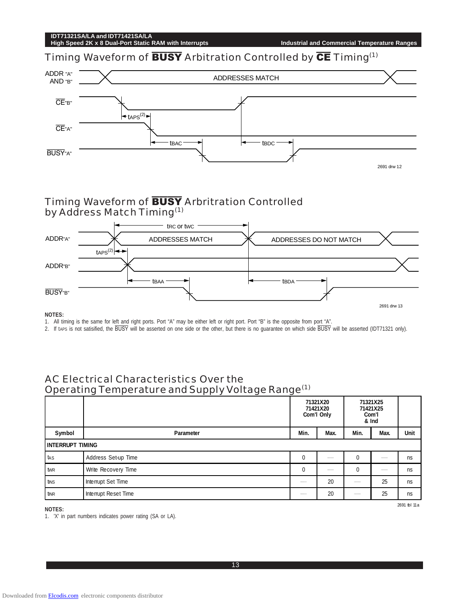Downloaded from [Elcodis.com](http://elcodis.com/) electronic components distributor

# **IDT71321SA/LA and IDT71421SA/LA**

Timing Waveform of **BUSY** Arbitration Controlled by **CE** Timing<sup>(1)</sup>



# Timing Waveform of **BUSY** Arbritration Controlled by Address Match Timing<sup>(1)</sup>



#### **NOTES:**

1. All timing is the same for left and right ports. Port "A" may be either left or right port. Port "B" is the opposite from port "A".

2. If taps is not satisified, the BUSY will be asserted on one side or the other, but there is no guarantee on which side BUSY will be asserted (IDT71321 only).

# AC Electrical Characteristics Over the Operating Temperature and Supply Voltage Range(1)

|                         |                      |             | 71321X20<br>71421X20<br>Com'l Only | 71321X25<br>71421X25<br>Com'l<br>& Ind |      |      |
|-------------------------|----------------------|-------------|------------------------------------|----------------------------------------|------|------|
| Symbol                  | Parameter            | Min.        | Max.                               | Min.                                   | Max. | Unit |
| <b>INTERRUPT TIMING</b> |                      |             |                                    |                                        |      |      |
| tas                     | Address Set-up Time  | 0           |                                    | 0                                      |      | ns   |
| twr                     | Write Recovery Time  | $\mathbf 0$ |                                    | 0                                      |      | ns   |
| tins                    | Interrupt Set Time   |             | 20                                 |                                        | 25   | ns   |
| tinr                    | Interrupt Reset Time |             | 20                                 |                                        | 25   | ns   |

**NOTES:**

1. 'X' in part numbers indicates power rating (SA or LA).

**High Speed 2K x 8 Dual-Port Static RAM with Interrupts Industrial and Commercial Temperature Ranges**

2691 tbl 11a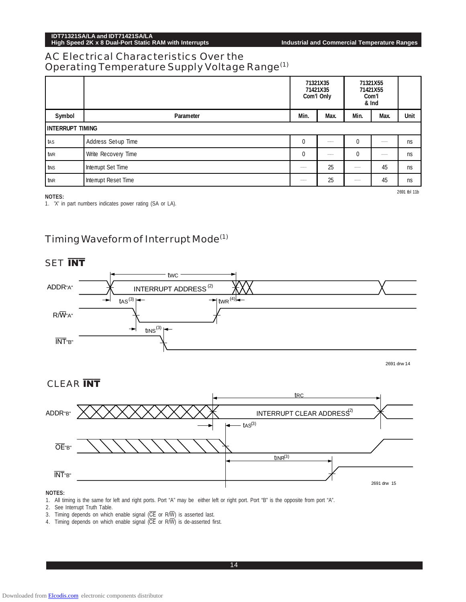**High Speed 2K x 8 Dual-Port Static RAM with Interrupts Industrial and Commercial Temperature Ranges**

# AC Electrical Characteristics Over the Operating Temperature Supply Voltage Range(1)

|                         |                      |              | 71321X35<br>71421X35<br>Com'l Only | 71321X55<br>71421X55<br>Com'l<br>& Ind |      |    |
|-------------------------|----------------------|--------------|------------------------------------|----------------------------------------|------|----|
| Symbol                  | Parameter            | Max.         | Min.                               | Max.                                   | Unit |    |
| <b>INTERRUPT TIMING</b> |                      |              |                                    |                                        |      |    |
| tas                     | Address Set-up Time  | $\Omega$     |                                    | $\mathbf{0}$                           |      | ns |
| twr                     | Write Recovery Time  | $\mathbf{0}$ |                                    | 0                                      |      | ns |
| tins                    | Interrupt Set Time   |              | 25                                 |                                        | 45   | ns |
| tinr                    | Interrupt Reset Time |              | 25                                 |                                        | 45   | ns |

#### **NOTES:**

1. 'X' in part numbers indicates power rating (SA or LA).

2691 tbl 11b

# Timing Waveform of Interrupt Mode(1)

# **SET INT**



2691 drw 14

# CLEAR **INT**



#### **NOTES:**

1. All timing is the same for left and right ports. Port "A" may be either left or right port. Port "B" is the opposite from port "A".

2. See Interrupt Truth Table.

- 3. Timing depends on which enable signal  $(\overline{\text{CE}}$  or R/W) is asserted last.
- 4. Timing depends on which enable signal (CE or R/W) is de-asserted first.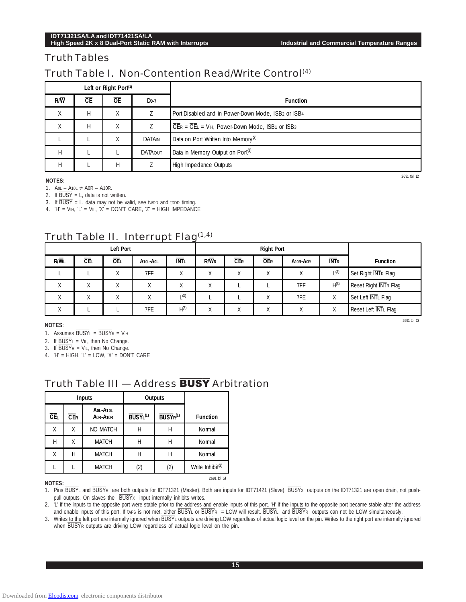## Truth Tables

# Truth Table I. Non-Contention Read/Write Control<sup>(4)</sup>

| Left or Right Port <sup>(1)</sup> |    |           |                |                                                                            |
|-----------------------------------|----|-----------|----------------|----------------------------------------------------------------------------|
| $R/\overline{W}$                  | CE | <b>OE</b> | $Do-7$         | <b>Function</b>                                                            |
| Χ                                 | Н  | Χ         |                | Port Disabled and in Power-Down Mode, ISB2 or ISB4                         |
| Χ                                 | н  | Χ         |                | $\overline{C}$ ER = $\overline{C}$ EL = VIH, Power-Down Mode, ISB1 or ISB3 |
|                                   |    | Χ         | DATAIN         | Data on Port Written Into Memory <sup>(2)</sup>                            |
| H                                 |    |           | <b>DATAOUT</b> | Data in Memory Output on Port <sup>(3)</sup>                               |
| Н                                 |    | н         |                | High Impedance Outputs                                                     |

**NOTES:**

1.  $A$ <sup>0</sup>L − A<sub>10</sub>L ≠ A0R − A10R.

2. If  $\overline{BUSY} = L$ , data is not written.

3. If  $\overline{BUSY}$  = L, data may not be valid, see two and too timing.

4.  $'H = VH$ ,  $'L = VIL$ ,  $X' = DONT CARE$ ,  $Z' = HIGH IMPEDANCE$ 

# Truth Table II. Interrupt Flag(1,4)

| Left Port         |           |            |                                   |                   |                    |            | <b>Right Port</b> |                                   |                  |                       |
|-------------------|-----------|------------|-----------------------------------|-------------------|--------------------|------------|-------------------|-----------------------------------|------------------|-----------------------|
| <b>R/WL</b>       | <b>CE</b> | <b>OEL</b> | A <sub>10L</sub> -A <sub>0L</sub> | <b>INTL</b>       | $R/\overline{W}$ R | <b>CER</b> | <b>OER</b>        | A <sub>10R</sub> -A <sub>0R</sub> | <b>INTR</b>      | <b>Function</b>       |
|                   |           | X          | 7FF                               | $\checkmark$<br>⋏ |                    | Χ          | Χ                 |                                   | $L^{(2)}$        | Set Right INTR Flag   |
| Χ                 | Χ         | X          | $\vee$<br>v                       | $\checkmark$<br>⋏ |                    |            |                   | 7FF                               | H <sup>(3)</sup> | Reset Right INTR Flag |
| χ                 | X         | Χ          |                                   | (3)               |                    |            | Χ                 | 7FE                               | Χ                | Set Left INTL Flag    |
| $\checkmark$<br>v |           |            | 7FE                               | H <sup>(2)</sup>  |                    |            | Χ                 |                                   | Χ                | Reset Left INTL Flag  |

#### **NOTES**:

1. Assumes  $\overline{BUSY}L = \overline{BUSY}R = VH$ 

2. If  $\overline{BUSY}$ L = VIL, then No Change.

3. If  $\overline{BUSY}R = VIL$ , then No Change.

4.  $'H = HIGH$ ,  $'L = LOW$ ,  $X' = DON'T CARE$ 

# Truth Table III - Address **BUSY** Arbitration

|            |            | <b>Inputs</b>        |                      | Outputs                          |                              |
|------------|------------|----------------------|----------------------|----------------------------------|------------------------------|
| <b>CEL</b> | <b>CER</b> | AOL-A1OL<br>AOR-A1OR | BUSYL <sup>(1)</sup> | BUSY <sub>R</sub> <sup>(1)</sup> | <b>Function</b>              |
| Χ          | Χ          | <b>NO MATCH</b>      | Н                    | Н                                | Normal                       |
| Н          | Χ          | <b>MATCH</b>         | Н                    | Н                                | Normal                       |
| Χ          | Н          | <b>MATCH</b>         | Н                    | Н                                | Normal                       |
|            |            | <b>MATCH</b>         | (2)                  | (2)                              | Write Inhibit <sup>(3)</sup> |
|            |            |                      |                      |                                  | 2691 tbl 14                  |

#### **NOTES:**

1. Pins BUSYL and BUSYR are both outputs for IDT71321 (Master). Both are inputs for IDT71421 (Slave). BUSYx outputs on the IDT71321 are open drain, not pushpull outputs. On slaves the  $\overline{BUSY}x$  input internally inhibits writes.

2. 'L' if the inputs to the opposite port were stable prior to the address and enable inputs of this port. 'H' if the inputs to the opposite port became stable after the address and enable inputs of this port. If taps is not met, either BUSYL or BUSYR = LOW will result. BUSYL and BUSYR outputs can not be LOW simultaneously.

3. Writes to the left port are internally ignored when BUSYL outputs are driving LOW regardless of actual logic level on the pin. Writes to the right port are internally ignored when BUSYR outputs are driving LOW regardless of actual logic level on the pin.

2691 tbl 13

2691 tbl 12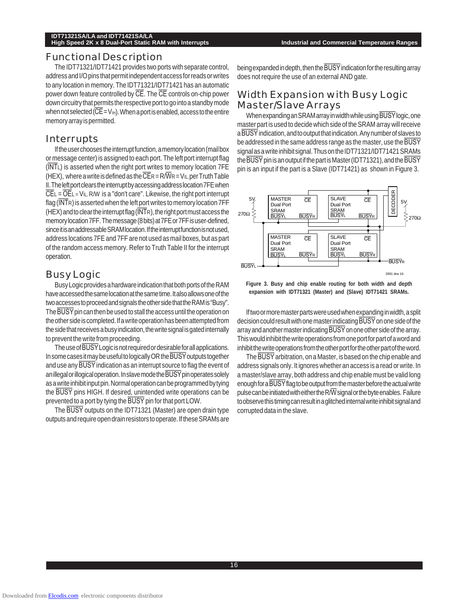#### Functional Description

The IDT71321/IDT71421 provides two ports with separate control, address and I/O pins that permit independent access for reads or writes to any location in memory. The IDT71321/IDT71421 has an automatic power down feature controlled by CE. The CE controls on-chip power down circuitry that permits the respective port to go into a standby mode when not selected ( $\overline{\text{CE}}$  = V<sub>IH</sub>). When a port is enabled, access to the entire memory array is permitted.

#### Interrupts

If the user chooses the interrupt function, a memory location (mail box or message center) is assigned to each port. The left port interrupt flag (INTL) is asserted when the right port writes to memory location 7FE (HEX), where a write is defined as the  $\overline{\text{CE}}$ R = R $\overline{\text{WR}}$  = V<sub>IL</sub>, per Truth Table II. The left port clears the interrupt by accessing address location 7FE when  $CEL = OEL = V<sub>IL</sub>$ , R/W is a "don't care". Likewise, the right port interrupt flag  $(\overline{\text{INT}})$  is asserted when the left port writes to memory location 7FF (HEX) and to clear the interrupt flag ( $\overline{\text{INT}}$ R), the right port must access the memory location 7FF. The message (8 bits) at 7FE or 7FF is user-defined, since it is an addressable SRAM location. If the interrupt function is not used, address locations 7FE and 7FF are not used as mail boxes, but as part of the random access memory. Refer to Truth Table II for the interrupt operation.

## Busy Logic

Busy Logic provides a hardware indication that both ports of the RAM have accessed the same location at the same time. It also allows one of the two accesses to proceed and signals the other side that the RAM is "Busy". The BUSY pin can then be used to stall the access until the operation on the other side is completed. If a write operation has been attempted from the side that receives a busy indication, the write signal is gated internally to prevent the write from proceeding.

The use of BUSY Logic is not required or desirable for all applications. In some cases it may be useful to logically OR the BUSY outputs together and use any BUSY indication as an interrupt source to flag the event of an illegal or illogical operation. In slave mode the BUSY pin operates solely as a write inhibit input pin. Normal operation can be programmed by tying the BUSY pins HIGH. If desired, unintended write operations can be prevented to a port by tying the BUSY pin for that port LOW.

The BUSY outputs on the IDT71321 (Master) are open drain type outputs and require open drain resistors to operate. If these SRAMs are

being expanded in depth, then the BUSY indication for the resulting array does not require the use of an external AND gate.

## Width Expansion with Busy Logic Master/Slave Arrays

When expanding an SRAM array in width while using BUSY logic, one master part is used to decide which side of the SRAM array will receive a BUSY indication, and to output that indication. Any number of slaves to be addressed in the same address range as the master, use the BUSY signal as a write inhibit signal. Thus on the IDT71321/IDT71421 SRAMs the BUSY pin is an output if the part is Master (IDT71321), and the BUSY pin is an input if the part is a Slave (IDT71421) as shown in Figure 3.



**Figure 3. Busy and chip enable routing for both width and depth expansion with IDT71321 (Master) and (Slave) IDT71421 SRAMs.**

If two or more master parts were used when expanding in width, a split decision could result with one master indicating BUSY on one side of the array and another master indicating BUSY on one other side of the array. This would inhibit the write operations from one port for part of a word and inhibit the write operations from the other port for the other part of the word.

The BUSY arbitration, on a Master, is based on the chip enable and address signals only. It ignores whether an access is a read or write. In a master/slave array, both address and chip enable must be valid long enough for a BUSY flag to be output from the master before the actual write pulse can be initiated with either the R $\overline{W}$  signal or the byte enables. Failure to observe this timing can result in a glitched internal write inhibit signal and corrupted data in the slave.